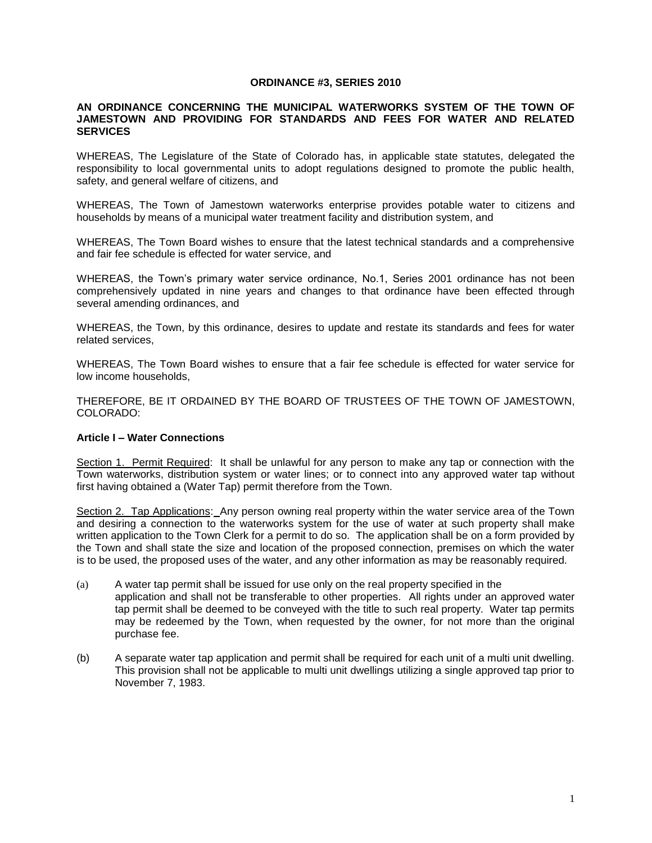#### **ORDINANCE #3, SERIES 2010**

#### **AN ORDINANCE CONCERNING THE MUNICIPAL WATERWORKS SYSTEM OF THE TOWN OF JAMESTOWN AND PROVIDING FOR STANDARDS AND FEES FOR WATER AND RELATED SERVICES**

WHEREAS, The Legislature of the State of Colorado has, in applicable state statutes, delegated the responsibility to local governmental units to adopt regulations designed to promote the public health, safety, and general welfare of citizens, and

WHEREAS, The Town of Jamestown waterworks enterprise provides potable water to citizens and households by means of a municipal water treatment facility and distribution system, and

WHEREAS, The Town Board wishes to ensure that the latest technical standards and a comprehensive and fair fee schedule is effected for water service, and

WHEREAS, the Town's primary water service ordinance, No.1, Series 2001 ordinance has not been comprehensively updated in nine years and changes to that ordinance have been effected through several amending ordinances, and

WHEREAS, the Town, by this ordinance, desires to update and restate its standards and fees for water related services,

WHEREAS, The Town Board wishes to ensure that a fair fee schedule is effected for water service for low income households,

THEREFORE, BE IT ORDAINED BY THE BOARD OF TRUSTEES OF THE TOWN OF JAMESTOWN, COLORADO:

#### **Article I – Water Connections**

Section 1. Permit Required: It shall be unlawful for any person to make any tap or connection with the Town waterworks, distribution system or water lines; or to connect into any approved water tap without first having obtained a (Water Tap) permit therefore from the Town.

Section 2. Tap Applications: Any person owning real property within the water service area of the Town and desiring a connection to the waterworks system for the use of water at such property shall make written application to the Town Clerk for a permit to do so. The application shall be on a form provided by the Town and shall state the size and location of the proposed connection, premises on which the water is to be used, the proposed uses of the water, and any other information as may be reasonably required.

- (a) A water tap permit shall be issued for use only on the real property specified in the application and shall not be transferable to other properties. All rights under an approved water tap permit shall be deemed to be conveyed with the title to such real property. Water tap permits may be redeemed by the Town, when requested by the owner, for not more than the original purchase fee.
- (b) A separate water tap application and permit shall be required for each unit of a multi unit dwelling. This provision shall not be applicable to multi unit dwellings utilizing a single approved tap prior to November 7, 1983.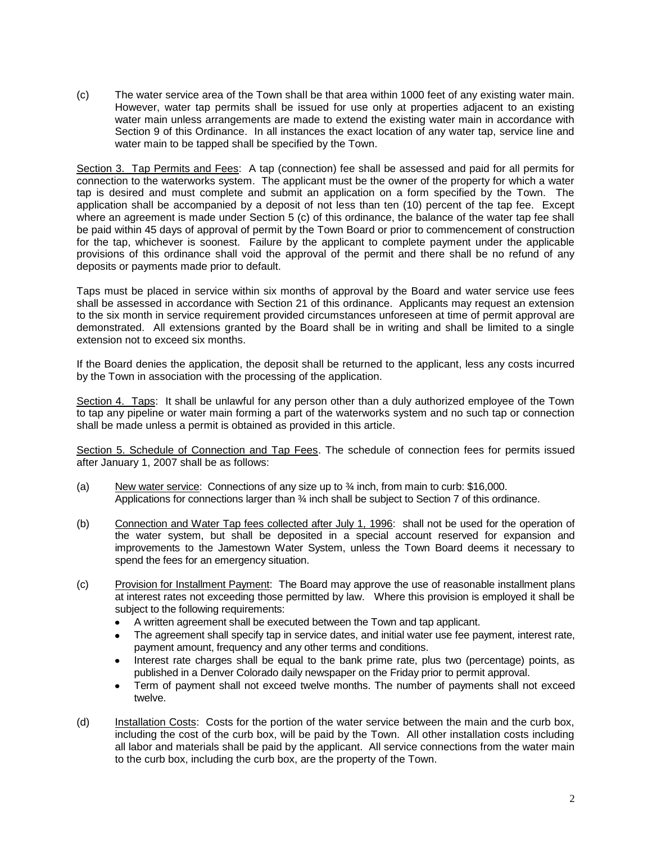(c) The water service area of the Town shall be that area within 1000 feet of any existing water main. However, water tap permits shall be issued for use only at properties adjacent to an existing water main unless arrangements are made to extend the existing water main in accordance with Section 9 of this Ordinance. In all instances the exact location of any water tap, service line and water main to be tapped shall be specified by the Town.

Section 3. Tap Permits and Fees: A tap (connection) fee shall be assessed and paid for all permits for connection to the waterworks system. The applicant must be the owner of the property for which a water tap is desired and must complete and submit an application on a form specified by the Town. The application shall be accompanied by a deposit of not less than ten (10) percent of the tap fee. Except where an agreement is made under Section 5 (c) of this ordinance, the balance of the water tap fee shall be paid within 45 days of approval of permit by the Town Board or prior to commencement of construction for the tap, whichever is soonest. Failure by the applicant to complete payment under the applicable provisions of this ordinance shall void the approval of the permit and there shall be no refund of any deposits or payments made prior to default.

Taps must be placed in service within six months of approval by the Board and water service use fees shall be assessed in accordance with Section 21 of this ordinance. Applicants may request an extension to the six month in service requirement provided circumstances unforeseen at time of permit approval are demonstrated. All extensions granted by the Board shall be in writing and shall be limited to a single extension not to exceed six months.

If the Board denies the application, the deposit shall be returned to the applicant, less any costs incurred by the Town in association with the processing of the application.

Section 4. Taps: It shall be unlawful for any person other than a duly authorized employee of the Town to tap any pipeline or water main forming a part of the waterworks system and no such tap or connection shall be made unless a permit is obtained as provided in this article.

Section 5. Schedule of Connection and Tap Fees. The schedule of connection fees for permits issued after January 1, 2007 shall be as follows:

- (a) New water service: Connections of any size up to  $\frac{3}{4}$  inch, from main to curb: \$16,000. Applications for connections larger than  $\frac{3}{4}$  inch shall be subject to Section 7 of this ordinance.
- (b) Connection and Water Tap fees collected after July 1, 1996: shall not be used for the operation of the water system, but shall be deposited in a special account reserved for expansion and improvements to the Jamestown Water System, unless the Town Board deems it necessary to spend the fees for an emergency situation.
- (c) Provision for Installment Payment: The Board may approve the use of reasonable installment plans at interest rates not exceeding those permitted by law. Where this provision is employed it shall be subject to the following requirements:
	- A written agreement shall be executed between the Town and tap applicant.
	- The agreement shall specify tap in service dates, and initial water use fee payment, interest rate,  $\bullet$ payment amount, frequency and any other terms and conditions.
	- Interest rate charges shall be equal to the bank prime rate, plus two (percentage) points, as  $\bullet$ published in a Denver Colorado daily newspaper on the Friday prior to permit approval.
	- Term of payment shall not exceed twelve months. The number of payments shall not exceed  $\bullet$ twelve.
- (d) Installation Costs: Costs for the portion of the water service between the main and the curb box, including the cost of the curb box, will be paid by the Town. All other installation costs including all labor and materials shall be paid by the applicant. All service connections from the water main to the curb box, including the curb box, are the property of the Town.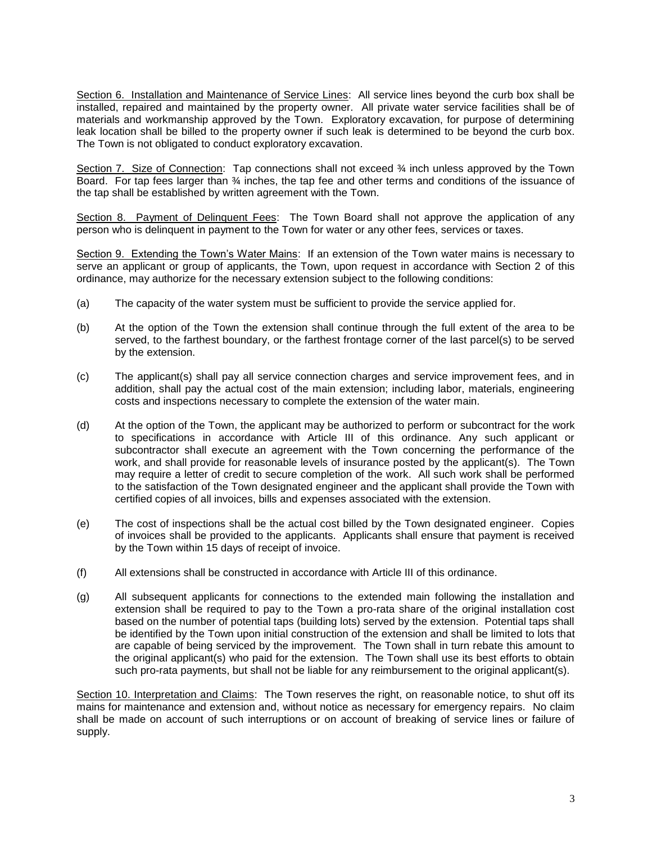Section 6. Installation and Maintenance of Service Lines: All service lines beyond the curb box shall be installed, repaired and maintained by the property owner. All private water service facilities shall be of materials and workmanship approved by the Town. Exploratory excavation, for purpose of determining leak location shall be billed to the property owner if such leak is determined to be beyond the curb box. The Town is not obligated to conduct exploratory excavation.

Section 7. Size of Connection: Tap connections shall not exceed 34 inch unless approved by the Town Board. For tap fees larger than ¾ inches, the tap fee and other terms and conditions of the issuance of the tap shall be established by written agreement with the Town.

Section 8. Payment of Delinquent Fees: The Town Board shall not approve the application of any person who is delinquent in payment to the Town for water or any other fees, services or taxes.

Section 9. Extending the Town's Water Mains: If an extension of the Town water mains is necessary to serve an applicant or group of applicants, the Town, upon request in accordance with Section 2 of this ordinance, may authorize for the necessary extension subject to the following conditions:

- (a) The capacity of the water system must be sufficient to provide the service applied for.
- (b) At the option of the Town the extension shall continue through the full extent of the area to be served, to the farthest boundary, or the farthest frontage corner of the last parcel(s) to be served by the extension.
- (c) The applicant(s) shall pay all service connection charges and service improvement fees, and in addition, shall pay the actual cost of the main extension; including labor, materials, engineering costs and inspections necessary to complete the extension of the water main.
- (d) At the option of the Town, the applicant may be authorized to perform or subcontract for the work to specifications in accordance with Article III of this ordinance. Any such applicant or subcontractor shall execute an agreement with the Town concerning the performance of the work, and shall provide for reasonable levels of insurance posted by the applicant(s). The Town may require a letter of credit to secure completion of the work. All such work shall be performed to the satisfaction of the Town designated engineer and the applicant shall provide the Town with certified copies of all invoices, bills and expenses associated with the extension.
- (e) The cost of inspections shall be the actual cost billed by the Town designated engineer. Copies of invoices shall be provided to the applicants. Applicants shall ensure that payment is received by the Town within 15 days of receipt of invoice.
- (f) All extensions shall be constructed in accordance with Article III of this ordinance.
- (g) All subsequent applicants for connections to the extended main following the installation and extension shall be required to pay to the Town a pro-rata share of the original installation cost based on the number of potential taps (building lots) served by the extension. Potential taps shall be identified by the Town upon initial construction of the extension and shall be limited to lots that are capable of being serviced by the improvement. The Town shall in turn rebate this amount to the original applicant(s) who paid for the extension. The Town shall use its best efforts to obtain such pro-rata payments, but shall not be liable for any reimbursement to the original applicant(s).

Section 10. Interpretation and Claims: The Town reserves the right, on reasonable notice, to shut off its mains for maintenance and extension and, without notice as necessary for emergency repairs. No claim shall be made on account of such interruptions or on account of breaking of service lines or failure of supply.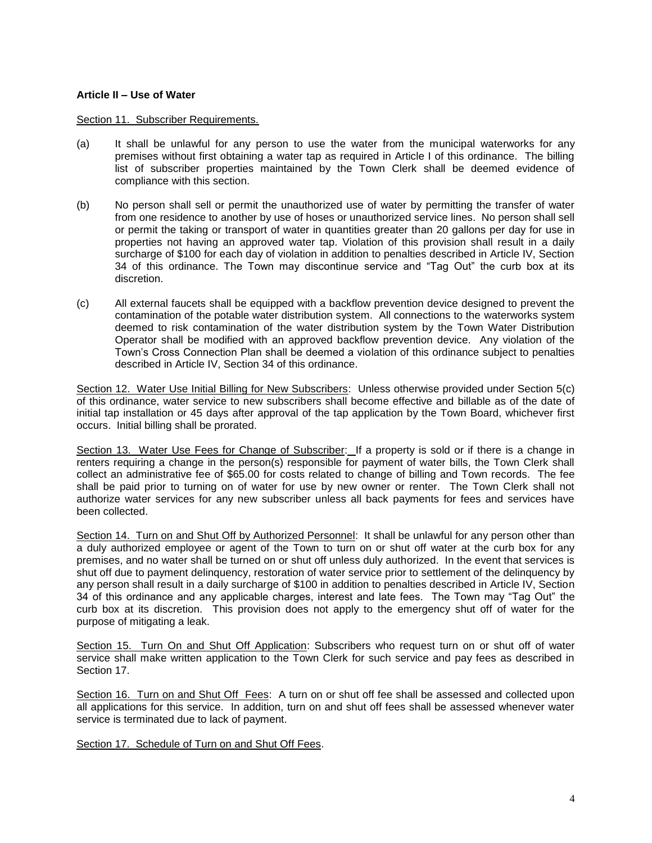### **Article II – Use of Water**

### Section 11. Subscriber Requirements.

- (a) It shall be unlawful for any person to use the water from the municipal waterworks for any premises without first obtaining a water tap as required in Article I of this ordinance. The billing list of subscriber properties maintained by the Town Clerk shall be deemed evidence of compliance with this section.
- (b) No person shall sell or permit the unauthorized use of water by permitting the transfer of water from one residence to another by use of hoses or unauthorized service lines. No person shall sell or permit the taking or transport of water in quantities greater than 20 gallons per day for use in properties not having an approved water tap. Violation of this provision shall result in a daily surcharge of \$100 for each day of violation in addition to penalties described in Article IV, Section 34 of this ordinance. The Town may discontinue service and "Tag Out" the curb box at its discretion.
- (c) All external faucets shall be equipped with a backflow prevention device designed to prevent the contamination of the potable water distribution system. All connections to the waterworks system deemed to risk contamination of the water distribution system by the Town Water Distribution Operator shall be modified with an approved backflow prevention device. Any violation of the Town's Cross Connection Plan shall be deemed a violation of this ordinance subject to penalties described in Article IV, Section 34 of this ordinance.

Section 12. Water Use Initial Billing for New Subscribers: Unless otherwise provided under Section 5(c) of this ordinance, water service to new subscribers shall become effective and billable as of the date of initial tap installation or 45 days after approval of the tap application by the Town Board, whichever first occurs. Initial billing shall be prorated.

Section 13. Water Use Fees for Change of Subscriber: If a property is sold or if there is a change in renters requiring a change in the person(s) responsible for payment of water bills, the Town Clerk shall collect an administrative fee of \$65.00 for costs related to change of billing and Town records. The fee shall be paid prior to turning on of water for use by new owner or renter. The Town Clerk shall not authorize water services for any new subscriber unless all back payments for fees and services have been collected.

Section 14. Turn on and Shut Off by Authorized Personnel: It shall be unlawful for any person other than a duly authorized employee or agent of the Town to turn on or shut off water at the curb box for any premises, and no water shall be turned on or shut off unless duly authorized. In the event that services is shut off due to payment delinquency, restoration of water service prior to settlement of the delinquency by any person shall result in a daily surcharge of \$100 in addition to penalties described in Article IV, Section 34 of this ordinance and any applicable charges, interest and late fees. The Town may "Tag Out" the curb box at its discretion. This provision does not apply to the emergency shut off of water for the purpose of mitigating a leak.

Section 15. Turn On and Shut Off Application: Subscribers who request turn on or shut off of water service shall make written application to the Town Clerk for such service and pay fees as described in Section 17.

Section 16. Turn on and Shut Off Fees: A turn on or shut off fee shall be assessed and collected upon all applications for this service. In addition, turn on and shut off fees shall be assessed whenever water service is terminated due to lack of payment.

Section 17. Schedule of Turn on and Shut Off Fees.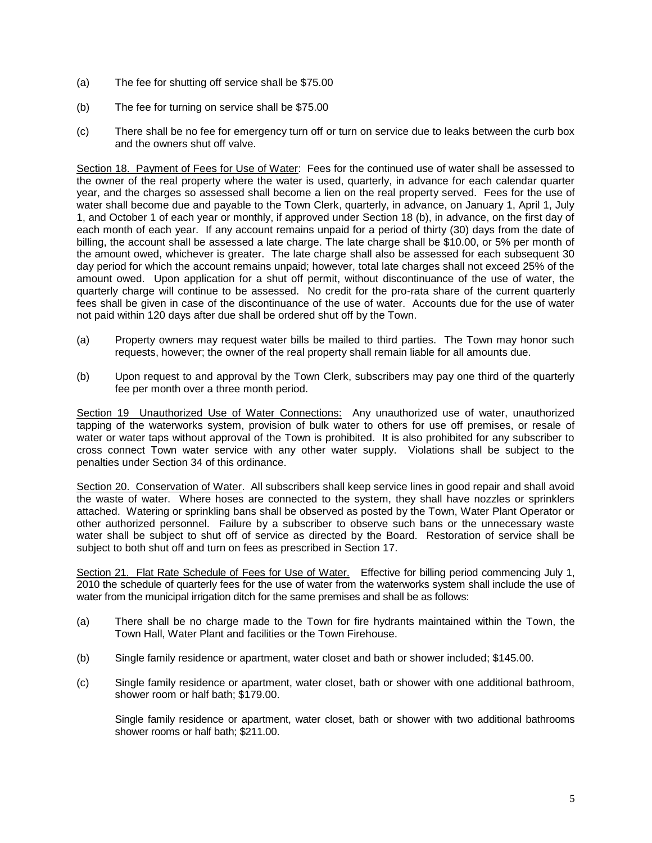- (a) The fee for shutting off service shall be \$75.00
- (b) The fee for turning on service shall be \$75.00
- (c) There shall be no fee for emergency turn off or turn on service due to leaks between the curb box and the owners shut off valve.

Section 18. Payment of Fees for Use of Water: Fees for the continued use of water shall be assessed to the owner of the real property where the water is used, quarterly, in advance for each calendar quarter year, and the charges so assessed shall become a lien on the real property served. Fees for the use of water shall become due and payable to the Town Clerk, quarterly, in advance, on January 1, April 1, July 1, and October 1 of each year or monthly, if approved under Section 18 (b), in advance, on the first day of each month of each year. If any account remains unpaid for a period of thirty (30) days from the date of billing, the account shall be assessed a late charge. The late charge shall be \$10.00, or 5% per month of the amount owed, whichever is greater. The late charge shall also be assessed for each subsequent 30 day period for which the account remains unpaid; however, total late charges shall not exceed 25% of the amount owed. Upon application for a shut off permit, without discontinuance of the use of water, the quarterly charge will continue to be assessed. No credit for the pro-rata share of the current quarterly fees shall be given in case of the discontinuance of the use of water. Accounts due for the use of water not paid within 120 days after due shall be ordered shut off by the Town.

- (a) Property owners may request water bills be mailed to third parties. The Town may honor such requests, however; the owner of the real property shall remain liable for all amounts due.
- (b) Upon request to and approval by the Town Clerk, subscribers may pay one third of the quarterly fee per month over a three month period.

Section 19 Unauthorized Use of Water Connections: Any unauthorized use of water, unauthorized tapping of the waterworks system, provision of bulk water to others for use off premises, or resale of water or water taps without approval of the Town is prohibited. It is also prohibited for any subscriber to cross connect Town water service with any other water supply. Violations shall be subject to the penalties under Section 34 of this ordinance.

Section 20. Conservation of Water. All subscribers shall keep service lines in good repair and shall avoid the waste of water. Where hoses are connected to the system, they shall have nozzles or sprinklers attached. Watering or sprinkling bans shall be observed as posted by the Town, Water Plant Operator or other authorized personnel. Failure by a subscriber to observe such bans or the unnecessary waste water shall be subject to shut off of service as directed by the Board. Restoration of service shall be subject to both shut off and turn on fees as prescribed in Section 17.

Section 21. Flat Rate Schedule of Fees for Use of Water. Effective for billing period commencing July 1, 2010 the schedule of quarterly fees for the use of water from the waterworks system shall include the use of water from the municipal irrigation ditch for the same premises and shall be as follows:

- (a) There shall be no charge made to the Town for fire hydrants maintained within the Town, the Town Hall, Water Plant and facilities or the Town Firehouse.
- (b) Single family residence or apartment, water closet and bath or shower included; \$145.00.
- (c) Single family residence or apartment, water closet, bath or shower with one additional bathroom, shower room or half bath; \$179.00.

Single family residence or apartment, water closet, bath or shower with two additional bathrooms shower rooms or half bath; \$211.00.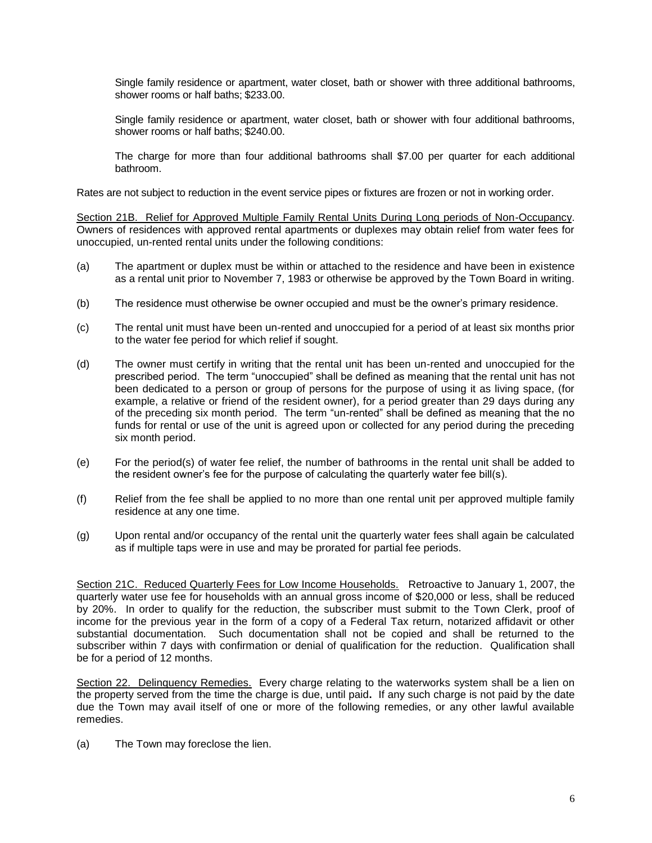Single family residence or apartment, water closet, bath or shower with three additional bathrooms, shower rooms or half baths; \$233.00.

Single family residence or apartment, water closet, bath or shower with four additional bathrooms, shower rooms or half baths; \$240.00.

The charge for more than four additional bathrooms shall \$7.00 per quarter for each additional bathroom.

Rates are not subject to reduction in the event service pipes or fixtures are frozen or not in working order.

Section 21B. Relief for Approved Multiple Family Rental Units During Long periods of Non-Occupancy. Owners of residences with approved rental apartments or duplexes may obtain relief from water fees for unoccupied, un-rented rental units under the following conditions:

- (a) The apartment or duplex must be within or attached to the residence and have been in existence as a rental unit prior to November 7, 1983 or otherwise be approved by the Town Board in writing.
- (b) The residence must otherwise be owner occupied and must be the owner's primary residence.
- (c) The rental unit must have been un-rented and unoccupied for a period of at least six months prior to the water fee period for which relief if sought.
- (d) The owner must certify in writing that the rental unit has been un-rented and unoccupied for the prescribed period. The term "unoccupied" shall be defined as meaning that the rental unit has not been dedicated to a person or group of persons for the purpose of using it as living space, (for example, a relative or friend of the resident owner), for a period greater than 29 days during any of the preceding six month period. The term "un-rented" shall be defined as meaning that the no funds for rental or use of the unit is agreed upon or collected for any period during the preceding six month period.
- (e) For the period(s) of water fee relief, the number of bathrooms in the rental unit shall be added to the resident owner's fee for the purpose of calculating the quarterly water fee bill(s).
- (f) Relief from the fee shall be applied to no more than one rental unit per approved multiple family residence at any one time.
- (g) Upon rental and/or occupancy of the rental unit the quarterly water fees shall again be calculated as if multiple taps were in use and may be prorated for partial fee periods.

Section 21C. Reduced Quarterly Fees for Low Income Households. Retroactive to January 1, 2007, the quarterly water use fee for households with an annual gross income of \$20,000 or less, shall be reduced by 20%. In order to qualify for the reduction, the subscriber must submit to the Town Clerk, proof of income for the previous year in the form of a copy of a Federal Tax return, notarized affidavit or other substantial documentation. Such documentation shall not be copied and shall be returned to the subscriber within 7 days with confirmation or denial of qualification for the reduction. Qualification shall be for a period of 12 months.

Section 22. Delinquency Remedies. Every charge relating to the waterworks system shall be a lien on the property served from the time the charge is due, until paid**.** If any such charge is not paid by the date due the Town may avail itself of one or more of the following remedies, or any other lawful available remedies.

(a) The Town may foreclose the lien.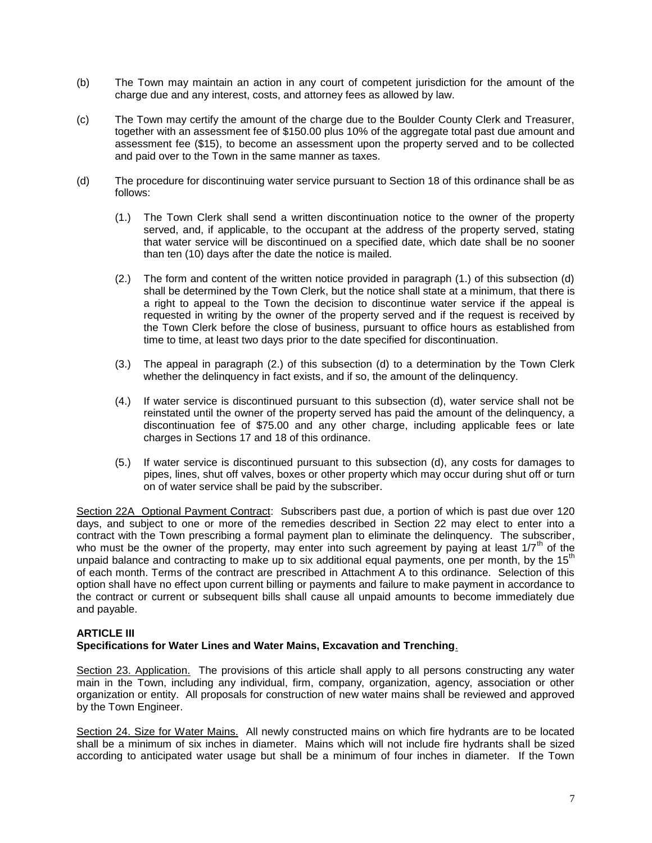- (b) The Town may maintain an action in any court of competent jurisdiction for the amount of the charge due and any interest, costs, and attorney fees as allowed by law.
- (c) The Town may certify the amount of the charge due to the Boulder County Clerk and Treasurer, together with an assessment fee of \$150.00 plus 10% of the aggregate total past due amount and assessment fee (\$15), to become an assessment upon the property served and to be collected and paid over to the Town in the same manner as taxes.
- (d) The procedure for discontinuing water service pursuant to Section 18 of this ordinance shall be as follows:
	- (1.) The Town Clerk shall send a written discontinuation notice to the owner of the property served, and, if applicable, to the occupant at the address of the property served, stating that water service will be discontinued on a specified date, which date shall be no sooner than ten (10) days after the date the notice is mailed.
	- (2.) The form and content of the written notice provided in paragraph (1.) of this subsection (d) shall be determined by the Town Clerk, but the notice shall state at a minimum, that there is a right to appeal to the Town the decision to discontinue water service if the appeal is requested in writing by the owner of the property served and if the request is received by the Town Clerk before the close of business, pursuant to office hours as established from time to time, at least two days prior to the date specified for discontinuation.
	- (3.) The appeal in paragraph (2.) of this subsection (d) to a determination by the Town Clerk whether the delinquency in fact exists, and if so, the amount of the delinquency.
	- (4.) If water service is discontinued pursuant to this subsection (d), water service shall not be reinstated until the owner of the property served has paid the amount of the delinquency, a discontinuation fee of \$75.00 and any other charge, including applicable fees or late charges in Sections 17 and 18 of this ordinance.
	- (5.) If water service is discontinued pursuant to this subsection (d), any costs for damages to pipes, lines, shut off valves, boxes or other property which may occur during shut off or turn on of water service shall be paid by the subscriber.

Section 22A Optional Payment Contract: Subscribers past due, a portion of which is past due over 120 days, and subject to one or more of the remedies described in Section 22 may elect to enter into a contract with the Town prescribing a formal payment plan to eliminate the delinquency. The subscriber, who must be the owner of the property, may enter into such agreement by paying at least  $1/7<sup>th</sup>$  of the unpaid balance and contracting to make up to six additional equal payments, one per month, by the 15<sup>th</sup> of each month. Terms of the contract are prescribed in Attachment A to this ordinance. Selection of this option shall have no effect upon current billing or payments and failure to make payment in accordance to the contract or current or subsequent bills shall cause all unpaid amounts to become immediately due and payable.

## **ARTICLE III**

## **Specifications for Water Lines and Water Mains, Excavation and Trenching**.

Section 23. Application. The provisions of this article shall apply to all persons constructing any water main in the Town, including any individual, firm, company, organization, agency, association or other organization or entity. All proposals for construction of new water mains shall be reviewed and approved by the Town Engineer.

Section 24. Size for Water Mains. All newly constructed mains on which fire hydrants are to be located shall be a minimum of six inches in diameter. Mains which will not include fire hydrants shall be sized according to anticipated water usage but shall be a minimum of four inches in diameter. If the Town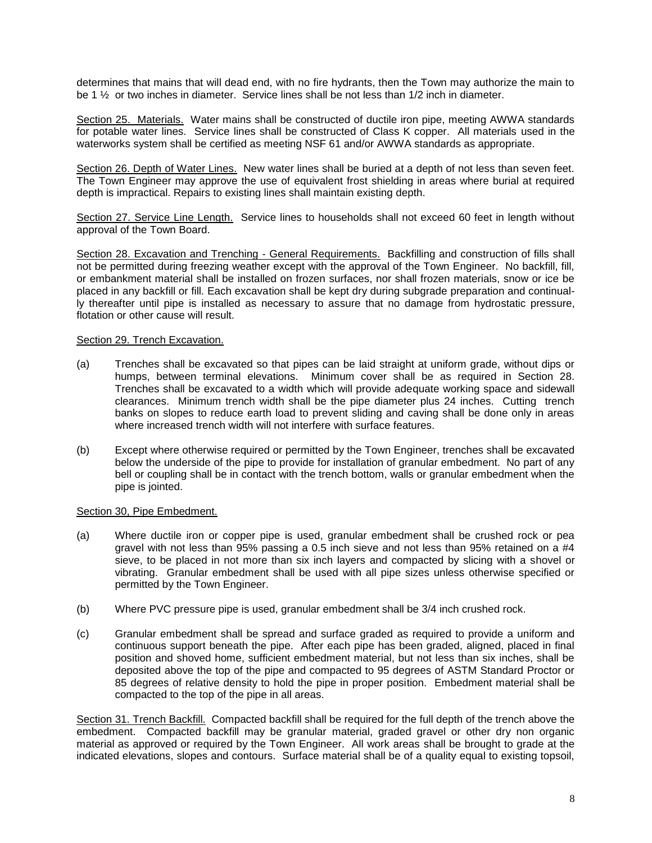determines that mains that will dead end, with no fire hydrants, then the Town may authorize the main to be 1 ½ or two inches in diameter. Service lines shall be not less than 1/2 inch in diameter.

Section 25. Materials. Water mains shall be constructed of ductile iron pipe, meeting AWWA standards for potable water lines. Service lines shall be constructed of Class K copper. All materials used in the waterworks system shall be certified as meeting NSF 61 and/or AWWA standards as appropriate.

Section 26. Depth of Water Lines. New water lines shall be buried at a depth of not less than seven feet. The Town Engineer may approve the use of equivalent frost shielding in areas where burial at required depth is impractical. Repairs to existing lines shall maintain existing depth.

Section 27. Service Line Length. Service lines to households shall not exceed 60 feet in length without approval of the Town Board.

Section 28. Excavation and Trenching - General Requirements. Backfilling and construction of fills shall not be permitted during freezing weather except with the approval of the Town Engineer. No backfill, fill, or embankment material shall be installed on frozen surfaces, nor shall frozen materials, snow or ice be placed in any backfill or fill. Each excavation shall be kept dry during subgrade preparation and continually thereafter until pipe is installed as necessary to assure that no damage from hydrostatic pressure, flotation or other cause will result.

### Section 29. Trench Excavation.

- (a) Trenches shall be excavated so that pipes can be laid straight at uniform grade, without dips or humps, between terminal elevations. Minimum cover shall be as required in Section 28. Trenches shall be excavated to a width which will provide adequate working space and sidewall clearances. Minimum trench width shall be the pipe diameter plus 24 inches. Cutting trench banks on slopes to reduce earth load to prevent sliding and caving shall be done only in areas where increased trench width will not interfere with surface features.
- (b) Except where otherwise required or permitted by the Town Engineer, trenches shall be excavated below the underside of the pipe to provide for installation of granular embedment. No part of any bell or coupling shall be in contact with the trench bottom, walls or granular embedment when the pipe is jointed.

### Section 30, Pipe Embedment.

- (a) Where ductile iron or copper pipe is used, granular embedment shall be crushed rock or pea gravel with not less than 95% passing a 0.5 inch sieve and not less than 95% retained on a  $#4$ sieve, to be placed in not more than six inch layers and compacted by slicing with a shovel or vibrating. Granular embedment shall be used with all pipe sizes unless otherwise specified or permitted by the Town Engineer.
- (b) Where PVC pressure pipe is used, granular embedment shall be 3/4 inch crushed rock.
- (c) Granular embedment shall be spread and surface graded as required to provide a uniform and continuous support beneath the pipe. After each pipe has been graded, aligned, placed in final position and shoved home, sufficient embedment material, but not less than six inches, shall be deposited above the top of the pipe and compacted to 95 degrees of ASTM Standard Proctor or 85 degrees of relative density to hold the pipe in proper position. Embedment material shall be compacted to the top of the pipe in all areas.

Section 31. Trench Backfill. Compacted backfill shall be required for the full depth of the trench above the embedment. Compacted backfill may be granular material, graded gravel or other dry non organic material as approved or required by the Town Engineer. All work areas shall be brought to grade at the indicated elevations, slopes and contours. Surface material shall be of a quality equal to existing topsoil,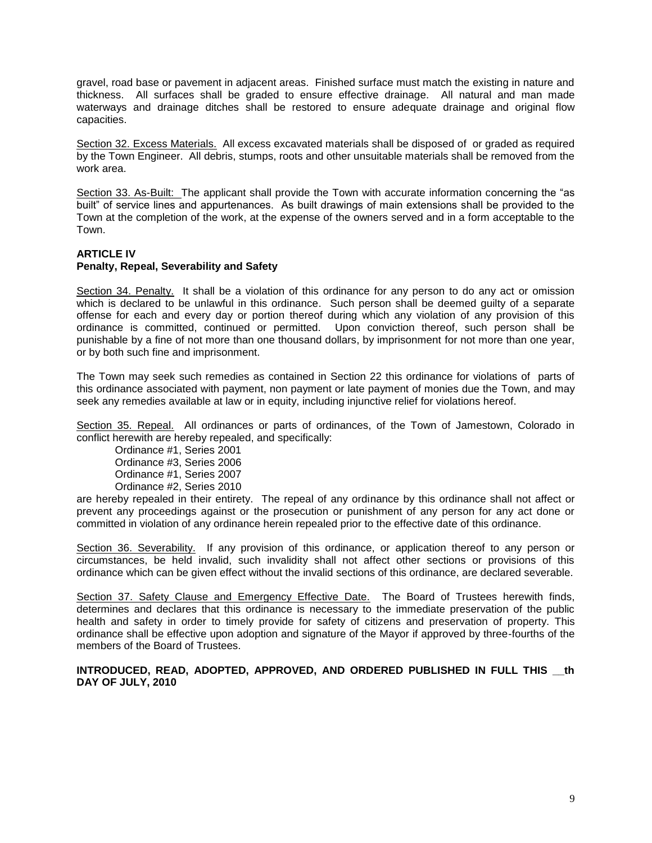gravel, road base or pavement in adjacent areas. Finished surface must match the existing in nature and thickness. All surfaces shall be graded to ensure effective drainage. All natural and man made waterways and drainage ditches shall be restored to ensure adequate drainage and original flow capacities.

Section 32. Excess Materials. All excess excavated materials shall be disposed of or graded as required by the Town Engineer. All debris, stumps, roots and other unsuitable materials shall be removed from the work area.

Section 33. As-Built: The applicant shall provide the Town with accurate information concerning the "as built" of service lines and appurtenances. As built drawings of main extensions shall be provided to the Town at the completion of the work, at the expense of the owners served and in a form acceptable to the Town.

### **ARTICLE IV Penalty, Repeal, Severability and Safety**

Section 34. Penalty. It shall be a violation of this ordinance for any person to do any act or omission which is declared to be unlawful in this ordinance. Such person shall be deemed quilty of a separate offense for each and every day or portion thereof during which any violation of any provision of this ordinance is committed, continued or permitted. Upon conviction thereof, such person shall be punishable by a fine of not more than one thousand dollars, by imprisonment for not more than one year, or by both such fine and imprisonment.

The Town may seek such remedies as contained in Section 22 this ordinance for violations of parts of this ordinance associated with payment, non payment or late payment of monies due the Town, and may seek any remedies available at law or in equity, including injunctive relief for violations hereof.

Section 35. Repeal. All ordinances or parts of ordinances, of the Town of Jamestown, Colorado in conflict herewith are hereby repealed, and specifically:

Ordinance #1, Series 2001 Ordinance #3, Series 2006 Ordinance #1, Series 2007 Ordinance #2, Series 2010

are hereby repealed in their entirety. The repeal of any ordinance by this ordinance shall not affect or prevent any proceedings against or the prosecution or punishment of any person for any act done or committed in violation of any ordinance herein repealed prior to the effective date of this ordinance.

Section 36. Severability. If any provision of this ordinance, or application thereof to any person or circumstances, be held invalid, such invalidity shall not affect other sections or provisions of this ordinance which can be given effect without the invalid sections of this ordinance, are declared severable.

Section 37. Safety Clause and Emergency Effective Date. The Board of Trustees herewith finds, determines and declares that this ordinance is necessary to the immediate preservation of the public health and safety in order to timely provide for safety of citizens and preservation of property. This ordinance shall be effective upon adoption and signature of the Mayor if approved by three-fourths of the members of the Board of Trustees.

**INTRODUCED, READ, ADOPTED, APPROVED, AND ORDERED PUBLISHED IN FULL THIS \_\_th DAY OF JULY, 2010**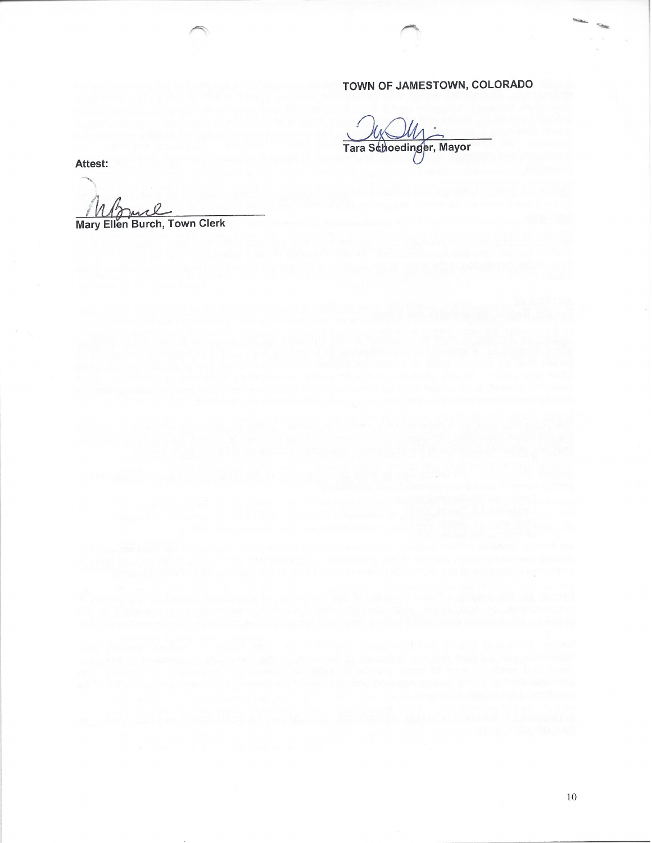## TOWN OF JAMESTOWN, COLORADO

 $\hat{E}$ 

Tara Schoedinger, Mayor

Attest:

Mary Ellen Burch, Town Clerk